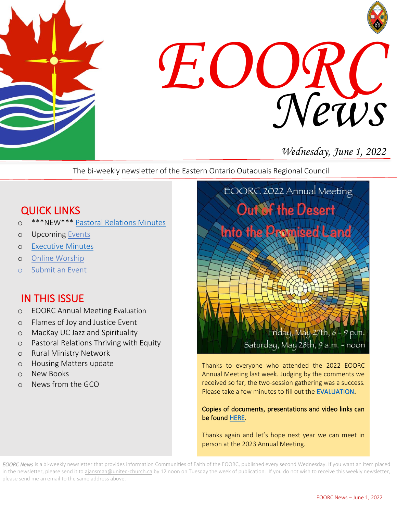



# *Wednesday, June 1, 2022*

The bi-weekly newsletter of the Eastern Ontario Outaouais Regional Council

# QUICK LINKS

- o \*\*\*NEW\*\*\* [Pastoral Relations Minutes](https://eoorc.ca/ministries/pastoral-relations-minutes/)
- o Upcoming [Events](https://eoorc.ca/events/)
- o [Executive Minutes](https://eoorc.ca/about-us/governance/)
- o [Online Worship](https://eoorc.ca/resources/online-worship/)
- o [Submit](https://eoorc.ca/events/community/add) an Event

# IN THIS ISSUE

- o EOORC Annual Meeting Evaluation
- o Flames of Joy and Justice Event
- o MacKay UC Jazz and Spirituality
- o Pastoral Relations Thriving with Equity
- o Rural Ministry Network
- o Housing Matters update
- o New Books
- o News from the GCO



Thanks to everyone who attended the 2022 EOORC Annual Meeting last week. Judging by the comments we received so far, the two-session gathering was a success. Please take a few minutes to fill out the [EVALUATION.](https://eoorc.ca/2022-eoorc-annual-meeting/)

#### Copies of documents, presentations and video links can be found [HERE.](https://eoorc.ca/2022-eoorc-annual-meeting/)

Thanks again and let's hope next year we can meet in person at the 2023 Annual Meeting.

*EOORC News* is a bi-weekly newsletter that provides information Communities of Faith of the EOORC, published every second Wednesday. If you want an item placed in the newsletter, please send it to [ajansman@united-church.ca](mailto:ajansman@united-church.ca) by 12 noon on Tuesday the week of publication. If you do not wish to receive this weekly newsletter, please send me an email to the same address above.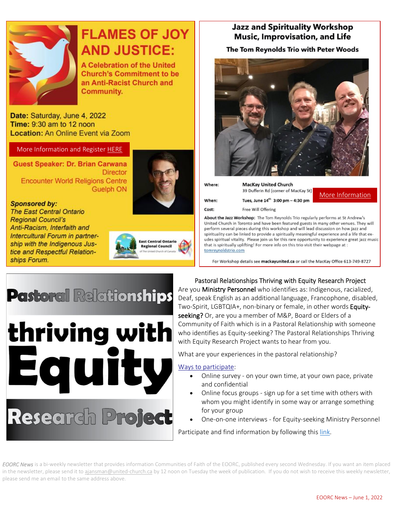

# **FLAMES OF JOY AND JUSTICE:**

**A Celebration of the United Church's Commitment to be** an Anti-Racist Church and Community.

Date: Saturday, June 4, 2022 Time: 9:30 am to 12 noon **Location: An Online Event via Zoom** 

#### More Information and Register [HERE](https://ecorcuccan.ca/event/flames-of-joy-and-justice/)

Guest Speaker: Dr. Brian Carwana **Director Encounter World Religions Centre Guelph ON** 



#### **Sponsored by:**

**The East Central Ontario Regional Council's** Anti-Racism, Interfaith and Intercultural Forum in partnership with the Indigenous Justice and Respectful Relationships Forum.



#### **Jazz and Spirituality Workshop Music, Improvisation, and Life**

#### The Tom Reynolds Trio with Peter Woods



| <b>MacKay United Church</b>            |            |
|----------------------------------------|------------|
| 39 Dufferin Rd (corner of MacKay St)   | More Infor |
| Tues, June $14^{th}$ 3:00 pm - 4:30 pm |            |
| Free Will Offering                     |            |
|                                        |            |

About the Jazz Workshop: The Tom Reynolds Trio regularly performs at St Andrew's United Church in Toronto and have been featured guests in many other venues. They will perform several pieces during this workshop and will lead discussion on how jazz and spirituality can be linked to provide a spiritually meaningful experience and a life that exudes spiritual vitality. Please join us for this rare opportunity to experience great jazz music that is spiritually uplifting! For more info on this trio visit their webpage at : tomreynoldstrio.com

For Workshop details see mackayunited.ca or call the MacKay Office 613-749-8727

# **Pastoral Relationships**

thriving with Equit Ways to [participate:](https://can01.safelinks.protection.outlook.com/?url=https%3A%2F%2Fuccequity22.wixsite.com%2Fequity22%2Fways-to-participate&data=05%7C01%7CAJansman%40united-church.ca%7Cae960f7f04cb46dafc4a08da3db3275d%7Ccf18b5a826784011931215f0f7157574%7C0%7C0%7C637890137941262054%7CUnknown%7CTWFpbGZsb3d8eyJWIjoiMC4wLjAwMDAiLCJQIjoiV2luMzIiLCJBTiI6Ik1haWwiLCJXVCI6Mn0%3D%7C1000%7C%7C%7C&sdata=%2Fuq16cDQ16vR5MPiqPfb52mf9OmWe6buPdiG0Sb2%2Fgo%3D&reserved=0)

# Research Project

 $\overline{a}$  seeking? Or, are you a member of M&P, Board or Elders of a Community of Faith which is in a Pastoral Relationship with someone who identifies as Equity-seeking? The Pastoral Relatio<br>with Equity Research Project wants to hear from you. Pastoral Relationships Thriving with Equity Research Project Are you **Ministry Personnel** who identifies as: Indigenous, racialized, Deaf, speak English as an additional language, Francophone, disabled, Two-Spirit, LGBTQIA+, non-binary or female, in other words Equitywho identifies as Equity-seeking? The Pastoral Relationships Thriving

What are your experiences in the pastoral relationship?

- • Online survey on your own time, at your own pace, private and confidential
- Online focus groups sign up for a set time with others with whom you might identify in some way or arrange something for your group
- One-on-one interviews for Equity-seeking Ministry Personnel

Participate and find information by following this [link.](https://uccequity22.wixsite.com/equity22)

*EOORC News* is a bi-weekly newsletter that provides information Communities of Faith of the EOORC, published every second Wednesday. If you want an item placed in the newsletter, please send it to [ajansman@united-church.ca](mailto:ajansman@united-church.ca) by 12 noon on Tuesday the week of publication. If you do not wish to receive this weekly newsletter, please send me an email to the same address above.

mation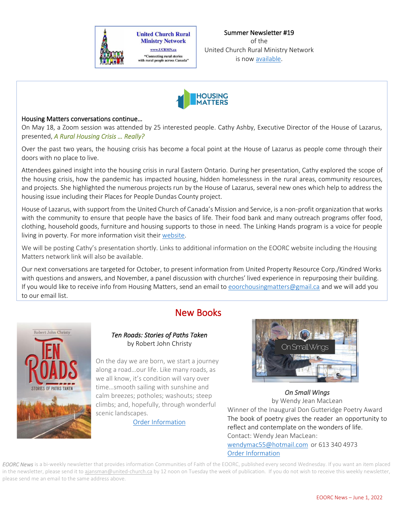



### Housing Matters conversations continue…

 $\overline{a}$ 

 On May 18, a Zoom session was attended by 25 interested people. Cathy Ashby, Executive Director of the House of Lazarus, J presented, *A Rural Housing Crisis … Really?*

 Over the past two years, the housing crisis has become a focal point at the House of Lazarus as people come through their doors with no place to live.

Attendees gained insight into the housing crisis in rural Eastern Ontario. During her presentation, Cathy explored the scope of<br>the housing crisis, how the pandomic has impacted housing, hidden homelessness in the rural ar and projects. She highlighted the numerous projects run by the House of Lazarus, several new ones which help to address the housing issue including their Places for People Dundas County project. the housing crisis, how the pandemic has impacted housing, hidden homelessness in the rural areas, community resources,

 House of Lazarus, with support from the United Church of Canada's Mission and Service, is a non-profit organization that works clothing, household goods, furniture and housing supports to those in need. The Linking Hands program is a voice for people with the community to ensure that people have the basics of life. Their food bank and many outreach programs offer food, living in poverty. For more information visit their [website.](https://hol.community/)

 We will be posting Cathy's presentation shortly. Links to additional information on the EOORC website including the Housing i. Matters network link will also be available.

 with questions and answers, and November, a panel discussion with churches' lived experience in repurposing their building. If you would like to receive info from Housing Matters, send an email to <u>eoorchousingmatters@gmail.ca</u> and we will add you  $\overline{a}$ Our next conversations are targeted for October, to present information from United Property Resource Corp./Kindred Works to our email list.

## New Books



#### *Ten Roads: Stories of Paths Taken*  by Robert John Christy

On the day we are born, we start a journey<br>along a road Lour life, Like many roads, as arong a real meaning them many really to all know, it's condition will vary over time…smooth sailing with sunshine and along a road…our life. Like many roads, as calm breezes; potholes; washouts; steep climbs; and, hopefully, through wonderful scenic landscapes.

[Order Information](https://burnstownpublishing.com/product/ten-roads-stories-of-paths-taken/?v=3e8d115eb4b3)



winner of the inaugural bon Gutteringe Poetry Award<br>The book of poetry gives the reader an opportunity to reflect and contemplate on the wonders of life. Contact: Wendy Jean MacLean:<br><u>[wendymac55@hotmail.com](mailto:wendymac55@hotmail.com)</u> or 613 340 4973 *On Small Wings*  by Wendy Jean MacLean Winner of the Inaugural Don Gutteridge Poetry Award Contact: Wendy Jean MacLean: [Order Information](http://www.wetinkbooks.com/publication/on-small-wings/)

*EOORC News* is a bi-weekly newsletter that provides information Communities of Faith of the EOORC, published every second Wednesday. If you want an item placed in the newsletter, please send it to [ajansman@united-church.ca](mailto:ajansman@united-church.ca) by 12 noon on Tuesday the week of publication. If you do not wish to receive this weekly newsletter, please send me an email to the same address above.